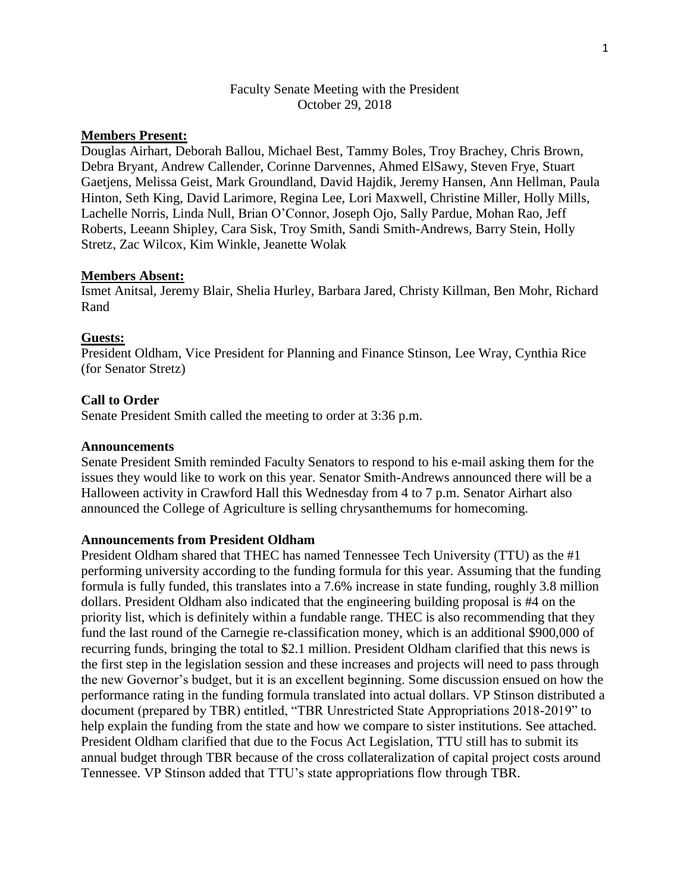# Faculty Senate Meeting with the President October 29, 2018

# **Members Present:**

Douglas Airhart, Deborah Ballou, Michael Best, Tammy Boles, Troy Brachey, Chris Brown, Debra Bryant, Andrew Callender, Corinne Darvennes, Ahmed ElSawy, Steven Frye, Stuart Gaetjens, Melissa Geist, Mark Groundland, David Hajdik, Jeremy Hansen, Ann Hellman, Paula Hinton, Seth King, David Larimore, Regina Lee, Lori Maxwell, Christine Miller, Holly Mills, Lachelle Norris, Linda Null, Brian O'Connor, Joseph Ojo, Sally Pardue, Mohan Rao, Jeff Roberts, Leeann Shipley, Cara Sisk, Troy Smith, Sandi Smith-Andrews, Barry Stein, Holly Stretz, Zac Wilcox, Kim Winkle, Jeanette Wolak

#### **Members Absent:**

Ismet Anitsal, Jeremy Blair, Shelia Hurley, Barbara Jared, Christy Killman, Ben Mohr, Richard Rand

#### **Guests:**

President Oldham, Vice President for Planning and Finance Stinson, Lee Wray, Cynthia Rice (for Senator Stretz)

#### **Call to Order**

Senate President Smith called the meeting to order at 3:36 p.m.

## **Announcements**

Senate President Smith reminded Faculty Senators to respond to his e-mail asking them for the issues they would like to work on this year. Senator Smith-Andrews announced there will be a Halloween activity in Crawford Hall this Wednesday from 4 to 7 p.m. Senator Airhart also announced the College of Agriculture is selling chrysanthemums for homecoming.

### **Announcements from President Oldham**

President Oldham shared that THEC has named Tennessee Tech University (TTU) as the #1 performing university according to the funding formula for this year. Assuming that the funding formula is fully funded, this translates into a 7.6% increase in state funding, roughly 3.8 million dollars. President Oldham also indicated that the engineering building proposal is #4 on the priority list, which is definitely within a fundable range. THEC is also recommending that they fund the last round of the Carnegie re-classification money, which is an additional \$900,000 of recurring funds, bringing the total to \$2.1 million. President Oldham clarified that this news is the first step in the legislation session and these increases and projects will need to pass through the new Governor's budget, but it is an excellent beginning. Some discussion ensued on how the performance rating in the funding formula translated into actual dollars. VP Stinson distributed a document (prepared by TBR) entitled, "TBR Unrestricted State Appropriations 2018-2019" to help explain the funding from the state and how we compare to sister institutions. See attached. President Oldham clarified that due to the Focus Act Legislation, TTU still has to submit its annual budget through TBR because of the cross collateralization of capital project costs around Tennessee. VP Stinson added that TTU's state appropriations flow through TBR.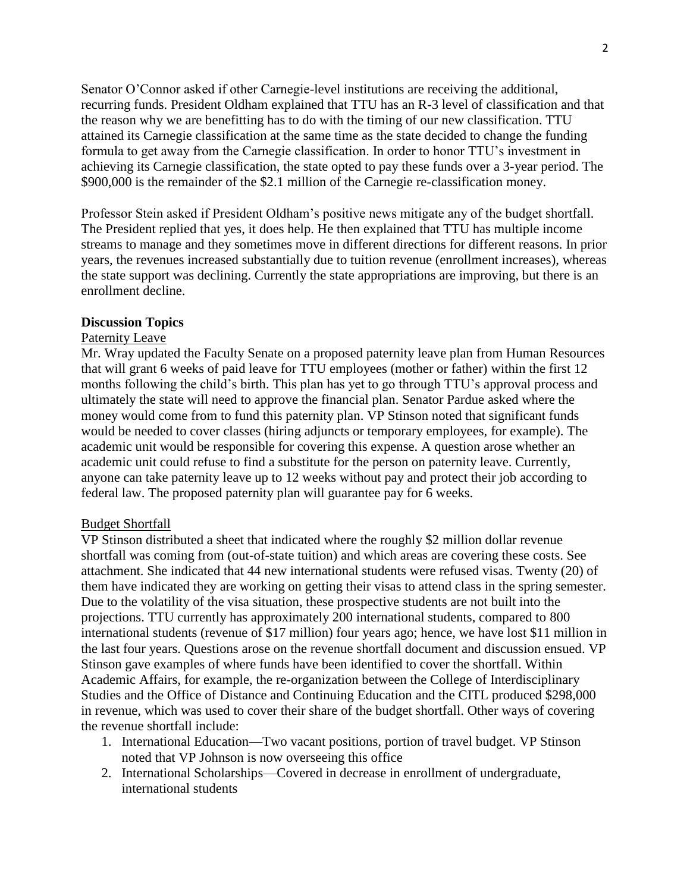Senator O'Connor asked if other Carnegie-level institutions are receiving the additional, recurring funds. President Oldham explained that TTU has an R-3 level of classification and that the reason why we are benefitting has to do with the timing of our new classification. TTU attained its Carnegie classification at the same time as the state decided to change the funding formula to get away from the Carnegie classification. In order to honor TTU's investment in achieving its Carnegie classification, the state opted to pay these funds over a 3-year period. The \$900,000 is the remainder of the \$2.1 million of the Carnegie re-classification money.

Professor Stein asked if President Oldham's positive news mitigate any of the budget shortfall. The President replied that yes, it does help. He then explained that TTU has multiple income streams to manage and they sometimes move in different directions for different reasons. In prior years, the revenues increased substantially due to tuition revenue (enrollment increases), whereas the state support was declining. Currently the state appropriations are improving, but there is an enrollment decline.

#### **Discussion Topics**

#### Paternity Leave

Mr. Wray updated the Faculty Senate on a proposed paternity leave plan from Human Resources that will grant 6 weeks of paid leave for TTU employees (mother or father) within the first 12 months following the child's birth. This plan has yet to go through TTU's approval process and ultimately the state will need to approve the financial plan. Senator Pardue asked where the money would come from to fund this paternity plan. VP Stinson noted that significant funds would be needed to cover classes (hiring adjuncts or temporary employees, for example). The academic unit would be responsible for covering this expense. A question arose whether an academic unit could refuse to find a substitute for the person on paternity leave. Currently, anyone can take paternity leave up to 12 weeks without pay and protect their job according to federal law. The proposed paternity plan will guarantee pay for 6 weeks.

#### Budget Shortfall

VP Stinson distributed a sheet that indicated where the roughly \$2 million dollar revenue shortfall was coming from (out-of-state tuition) and which areas are covering these costs. See attachment. She indicated that 44 new international students were refused visas. Twenty (20) of them have indicated they are working on getting their visas to attend class in the spring semester. Due to the volatility of the visa situation, these prospective students are not built into the projections. TTU currently has approximately 200 international students, compared to 800 international students (revenue of \$17 million) four years ago; hence, we have lost \$11 million in the last four years. Questions arose on the revenue shortfall document and discussion ensued. VP Stinson gave examples of where funds have been identified to cover the shortfall. Within Academic Affairs, for example, the re-organization between the College of Interdisciplinary Studies and the Office of Distance and Continuing Education and the CITL produced \$298,000 in revenue, which was used to cover their share of the budget shortfall. Other ways of covering the revenue shortfall include:

- 1. International Education—Two vacant positions, portion of travel budget. VP Stinson noted that VP Johnson is now overseeing this office
- 2. International Scholarships—Covered in decrease in enrollment of undergraduate, international students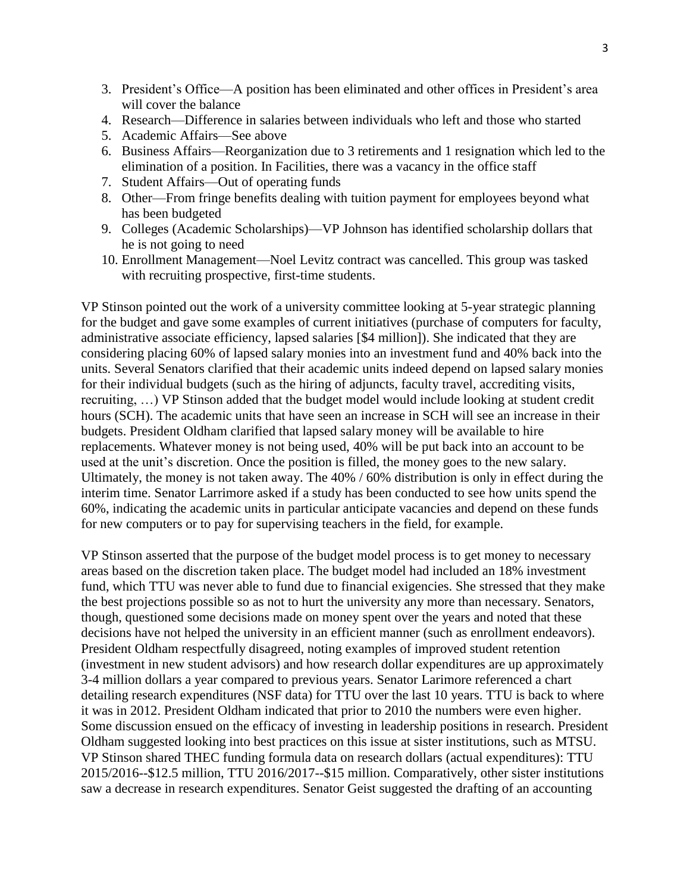- 3. President's Office—A position has been eliminated and other offices in President's area will cover the balance
- 4. Research—Difference in salaries between individuals who left and those who started
- 5. Academic Affairs—See above
- 6. Business Affairs—Reorganization due to 3 retirements and 1 resignation which led to the elimination of a position. In Facilities, there was a vacancy in the office staff
- 7. Student Affairs—Out of operating funds
- 8. Other—From fringe benefits dealing with tuition payment for employees beyond what has been budgeted
- 9. Colleges (Academic Scholarships)—VP Johnson has identified scholarship dollars that he is not going to need
- 10. Enrollment Management—Noel Levitz contract was cancelled. This group was tasked with recruiting prospective, first-time students.

VP Stinson pointed out the work of a university committee looking at 5-year strategic planning for the budget and gave some examples of current initiatives (purchase of computers for faculty, administrative associate efficiency, lapsed salaries [\$4 million]). She indicated that they are considering placing 60% of lapsed salary monies into an investment fund and 40% back into the units. Several Senators clarified that their academic units indeed depend on lapsed salary monies for their individual budgets (such as the hiring of adjuncts, faculty travel, accrediting visits, recruiting, …) VP Stinson added that the budget model would include looking at student credit hours (SCH). The academic units that have seen an increase in SCH will see an increase in their budgets. President Oldham clarified that lapsed salary money will be available to hire replacements. Whatever money is not being used, 40% will be put back into an account to be used at the unit's discretion. Once the position is filled, the money goes to the new salary. Ultimately, the money is not taken away. The 40% / 60% distribution is only in effect during the interim time. Senator Larrimore asked if a study has been conducted to see how units spend the 60%, indicating the academic units in particular anticipate vacancies and depend on these funds for new computers or to pay for supervising teachers in the field, for example.

VP Stinson asserted that the purpose of the budget model process is to get money to necessary areas based on the discretion taken place. The budget model had included an 18% investment fund, which TTU was never able to fund due to financial exigencies. She stressed that they make the best projections possible so as not to hurt the university any more than necessary. Senators, though, questioned some decisions made on money spent over the years and noted that these decisions have not helped the university in an efficient manner (such as enrollment endeavors). President Oldham respectfully disagreed, noting examples of improved student retention (investment in new student advisors) and how research dollar expenditures are up approximately 3-4 million dollars a year compared to previous years. Senator Larimore referenced a chart detailing research expenditures (NSF data) for TTU over the last 10 years. TTU is back to where it was in 2012. President Oldham indicated that prior to 2010 the numbers were even higher. Some discussion ensued on the efficacy of investing in leadership positions in research. President Oldham suggested looking into best practices on this issue at sister institutions, such as MTSU. VP Stinson shared THEC funding formula data on research dollars (actual expenditures): TTU 2015/2016--\$12.5 million, TTU 2016/2017--\$15 million. Comparatively, other sister institutions saw a decrease in research expenditures. Senator Geist suggested the drafting of an accounting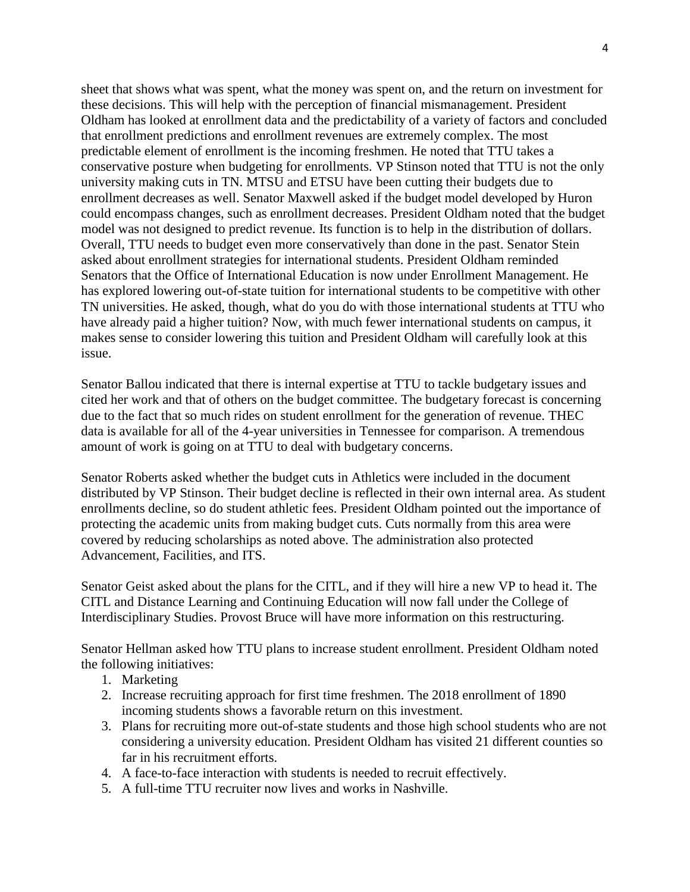sheet that shows what was spent, what the money was spent on, and the return on investment for these decisions. This will help with the perception of financial mismanagement. President Oldham has looked at enrollment data and the predictability of a variety of factors and concluded that enrollment predictions and enrollment revenues are extremely complex. The most predictable element of enrollment is the incoming freshmen. He noted that TTU takes a conservative posture when budgeting for enrollments. VP Stinson noted that TTU is not the only university making cuts in TN. MTSU and ETSU have been cutting their budgets due to enrollment decreases as well. Senator Maxwell asked if the budget model developed by Huron could encompass changes, such as enrollment decreases. President Oldham noted that the budget model was not designed to predict revenue. Its function is to help in the distribution of dollars. Overall, TTU needs to budget even more conservatively than done in the past. Senator Stein asked about enrollment strategies for international students. President Oldham reminded Senators that the Office of International Education is now under Enrollment Management. He has explored lowering out-of-state tuition for international students to be competitive with other TN universities. He asked, though, what do you do with those international students at TTU who have already paid a higher tuition? Now, with much fewer international students on campus, it makes sense to consider lowering this tuition and President Oldham will carefully look at this issue.

Senator Ballou indicated that there is internal expertise at TTU to tackle budgetary issues and cited her work and that of others on the budget committee. The budgetary forecast is concerning due to the fact that so much rides on student enrollment for the generation of revenue. THEC data is available for all of the 4-year universities in Tennessee for comparison. A tremendous amount of work is going on at TTU to deal with budgetary concerns.

Senator Roberts asked whether the budget cuts in Athletics were included in the document distributed by VP Stinson. Their budget decline is reflected in their own internal area. As student enrollments decline, so do student athletic fees. President Oldham pointed out the importance of protecting the academic units from making budget cuts. Cuts normally from this area were covered by reducing scholarships as noted above. The administration also protected Advancement, Facilities, and ITS.

Senator Geist asked about the plans for the CITL, and if they will hire a new VP to head it. The CITL and Distance Learning and Continuing Education will now fall under the College of Interdisciplinary Studies. Provost Bruce will have more information on this restructuring.

Senator Hellman asked how TTU plans to increase student enrollment. President Oldham noted the following initiatives:

- 1. Marketing
- 2. Increase recruiting approach for first time freshmen. The 2018 enrollment of 1890 incoming students shows a favorable return on this investment.
- 3. Plans for recruiting more out-of-state students and those high school students who are not considering a university education. President Oldham has visited 21 different counties so far in his recruitment efforts.
- 4. A face-to-face interaction with students is needed to recruit effectively.
- 5. A full-time TTU recruiter now lives and works in Nashville.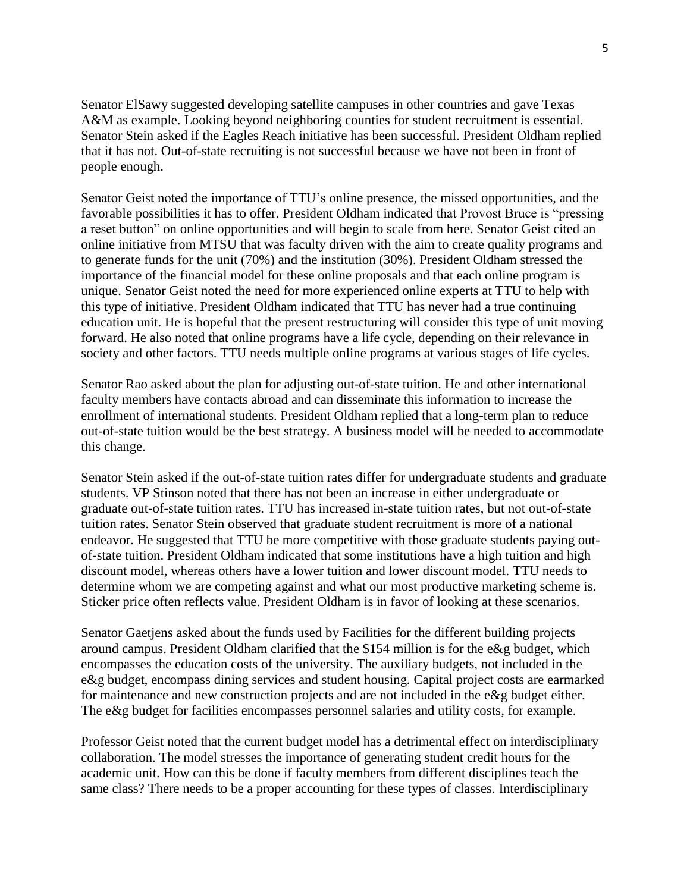Senator ElSawy suggested developing satellite campuses in other countries and gave Texas A&M as example. Looking beyond neighboring counties for student recruitment is essential. Senator Stein asked if the Eagles Reach initiative has been successful. President Oldham replied that it has not. Out-of-state recruiting is not successful because we have not been in front of people enough.

Senator Geist noted the importance of TTU's online presence, the missed opportunities, and the favorable possibilities it has to offer. President Oldham indicated that Provost Bruce is "pressing a reset button" on online opportunities and will begin to scale from here. Senator Geist cited an online initiative from MTSU that was faculty driven with the aim to create quality programs and to generate funds for the unit (70%) and the institution (30%). President Oldham stressed the importance of the financial model for these online proposals and that each online program is unique. Senator Geist noted the need for more experienced online experts at TTU to help with this type of initiative. President Oldham indicated that TTU has never had a true continuing education unit. He is hopeful that the present restructuring will consider this type of unit moving forward. He also noted that online programs have a life cycle, depending on their relevance in society and other factors. TTU needs multiple online programs at various stages of life cycles.

Senator Rao asked about the plan for adjusting out-of-state tuition. He and other international faculty members have contacts abroad and can disseminate this information to increase the enrollment of international students. President Oldham replied that a long-term plan to reduce out-of-state tuition would be the best strategy. A business model will be needed to accommodate this change.

Senator Stein asked if the out-of-state tuition rates differ for undergraduate students and graduate students. VP Stinson noted that there has not been an increase in either undergraduate or graduate out-of-state tuition rates. TTU has increased in-state tuition rates, but not out-of-state tuition rates. Senator Stein observed that graduate student recruitment is more of a national endeavor. He suggested that TTU be more competitive with those graduate students paying outof-state tuition. President Oldham indicated that some institutions have a high tuition and high discount model, whereas others have a lower tuition and lower discount model. TTU needs to determine whom we are competing against and what our most productive marketing scheme is. Sticker price often reflects value. President Oldham is in favor of looking at these scenarios.

Senator Gaetjens asked about the funds used by Facilities for the different building projects around campus. President Oldham clarified that the \$154 million is for the e&g budget, which encompasses the education costs of the university. The auxiliary budgets, not included in the e&g budget, encompass dining services and student housing. Capital project costs are earmarked for maintenance and new construction projects and are not included in the e&g budget either. The e&g budget for facilities encompasses personnel salaries and utility costs, for example.

Professor Geist noted that the current budget model has a detrimental effect on interdisciplinary collaboration. The model stresses the importance of generating student credit hours for the academic unit. How can this be done if faculty members from different disciplines teach the same class? There needs to be a proper accounting for these types of classes. Interdisciplinary